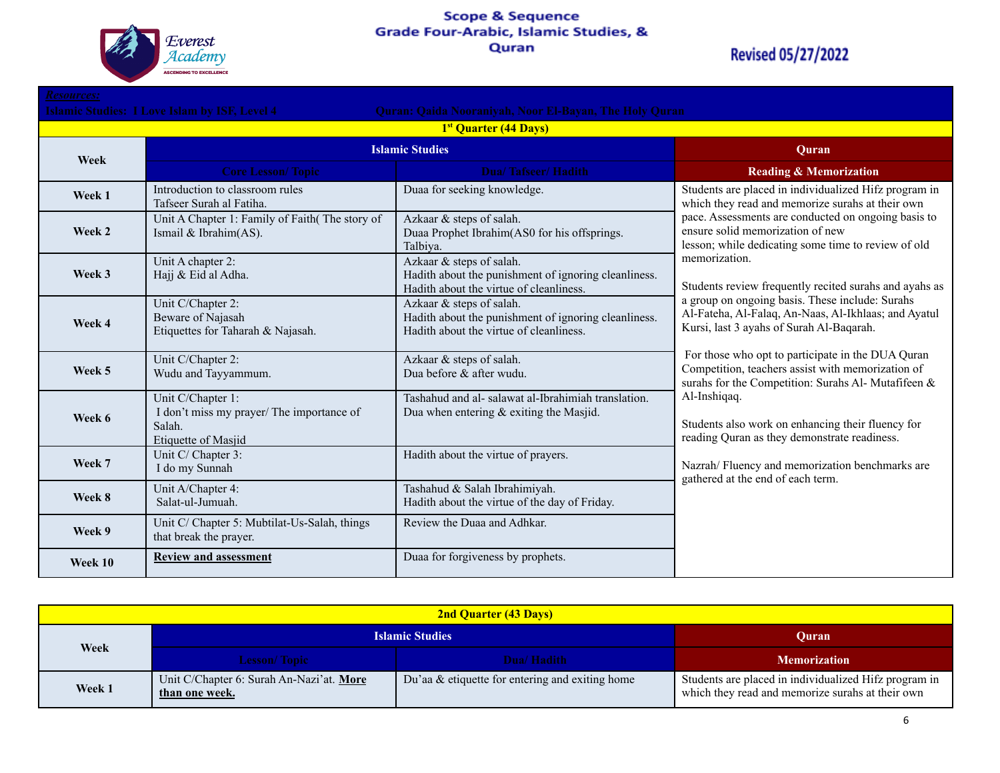

### Scope & Sequence<br>Grade Four-Arabic, Islamic Studies, & Quran

| <b>Resources:</b>                                                                                                     |                                                                                                 |                                                                                                                             |                                                                                                                                                                                                                                                                                                                                                                                                                                                                                               |  |
|-----------------------------------------------------------------------------------------------------------------------|-------------------------------------------------------------------------------------------------|-----------------------------------------------------------------------------------------------------------------------------|-----------------------------------------------------------------------------------------------------------------------------------------------------------------------------------------------------------------------------------------------------------------------------------------------------------------------------------------------------------------------------------------------------------------------------------------------------------------------------------------------|--|
| <b>Islamic Studies: I Love Islam by ISF, Level 4</b><br><b>Quran: Qaida Nooraniyah, Noor El-Bayan, The Holy Quran</b> |                                                                                                 |                                                                                                                             |                                                                                                                                                                                                                                                                                                                                                                                                                                                                                               |  |
|                                                                                                                       |                                                                                                 | 1 <sup>st</sup> Quarter (44 Days)                                                                                           |                                                                                                                                                                                                                                                                                                                                                                                                                                                                                               |  |
| Week                                                                                                                  | <b>Islamic Studies</b>                                                                          |                                                                                                                             | Ouran                                                                                                                                                                                                                                                                                                                                                                                                                                                                                         |  |
|                                                                                                                       | <b>Core Lesson/Topic</b>                                                                        | <b>Dua/Tafseer/Hadith</b>                                                                                                   | <b>Reading &amp; Memorization</b>                                                                                                                                                                                                                                                                                                                                                                                                                                                             |  |
| Week 1                                                                                                                | Introduction to classroom rules<br>Tafseer Surah al Fatiha.                                     | Duaa for seeking knowledge.                                                                                                 | Students are placed in individualized Hifz program in<br>which they read and memorize surahs at their own<br>pace. Assessments are conducted on ongoing basis to<br>ensure solid memorization of new<br>lesson; while dedicating some time to review of old<br>memorization.<br>Students review frequently recited surahs and ayahs as<br>a group on ongoing basis. These include: Surahs<br>Al-Fateha, Al-Falaq, An-Naas, Al-Ikhlaas; and Ayatul<br>Kursi, last 3 ayahs of Surah Al-Baqarah. |  |
| Week 2                                                                                                                | Unit A Chapter 1: Family of Faith(The story of<br>Ismail & Ibrahim(AS).                         | Azkaar & steps of salah.<br>Duaa Prophet Ibrahim(AS0 for his offsprings.<br>Talbiva.                                        |                                                                                                                                                                                                                                                                                                                                                                                                                                                                                               |  |
| Week 3                                                                                                                | Unit A chapter 2:<br>Hajj & Eid al Adha.                                                        | Azkaar & steps of salah.<br>Hadith about the punishment of ignoring cleanliness.<br>Hadith about the virtue of cleanliness. |                                                                                                                                                                                                                                                                                                                                                                                                                                                                                               |  |
| Week 4                                                                                                                | Unit C/Chapter 2:<br>Beware of Najasah<br>Etiquettes for Taharah & Najasah.                     | Azkaar & steps of salah.<br>Hadith about the punishment of ignoring cleanliness.<br>Hadith about the virtue of cleanliness. |                                                                                                                                                                                                                                                                                                                                                                                                                                                                                               |  |
| Week 5                                                                                                                | Unit C/Chapter 2:<br>Wudu and Tayyammum.                                                        | Azkaar & steps of salah.<br>Dua before & after wudu.                                                                        | For those who opt to participate in the DUA Quran<br>Competition, teachers assist with memorization of<br>surahs for the Competition: Surahs Al- Mutafifeen &                                                                                                                                                                                                                                                                                                                                 |  |
| Week 6                                                                                                                | Unit C/Chapter 1:<br>I don't miss my prayer/ The importance of<br>Salah.<br>Etiquette of Masjid | Tashahud and al-salawat al-Ibrahimiah translation.<br>Dua when entering & exiting the Masjid.                               | Al-Inshigag.<br>Students also work on enhancing their fluency for<br>reading Quran as they demonstrate readiness.<br>Nazrah/Fluency and memorization benchmarks are<br>gathered at the end of each term.                                                                                                                                                                                                                                                                                      |  |
| Week 7                                                                                                                | Unit C/ Chapter 3:<br>I do my Sunnah                                                            | Hadith about the virtue of prayers.                                                                                         |                                                                                                                                                                                                                                                                                                                                                                                                                                                                                               |  |
| Week 8                                                                                                                | Unit A/Chapter 4:<br>Salat-ul-Jumuah.                                                           | Tashahud & Salah Ibrahimiyah.<br>Hadith about the virtue of the day of Friday.                                              |                                                                                                                                                                                                                                                                                                                                                                                                                                                                                               |  |
| Week 9                                                                                                                | Unit C/ Chapter 5: Mubtilat-Us-Salah, things<br>that break the prayer.                          | Review the Duaa and Adhkar.                                                                                                 |                                                                                                                                                                                                                                                                                                                                                                                                                                                                                               |  |
| Week 10                                                                                                               | <b>Review and assessment</b>                                                                    | Duaa for forgiveness by prophets.                                                                                           |                                                                                                                                                                                                                                                                                                                                                                                                                                                                                               |  |

| <b>2nd Quarter (43 Days)</b> |                                                            |                                                    |                                                                                                           |
|------------------------------|------------------------------------------------------------|----------------------------------------------------|-----------------------------------------------------------------------------------------------------------|
| Week                         | <b>Islamic Studies</b>                                     |                                                    | <b>Ouran</b>                                                                                              |
|                              | <b>Lesson/Topic</b>                                        | Dua/Hadith                                         | <b>Memorization</b>                                                                                       |
| Week 1                       | Unit C/Chapter 6: Surah An-Nazi'at. More<br>than one week. | Du'aa $\&$ etiquette for entering and exiting home | Students are placed in individualized Hifz program in<br>which they read and memorize surahs at their own |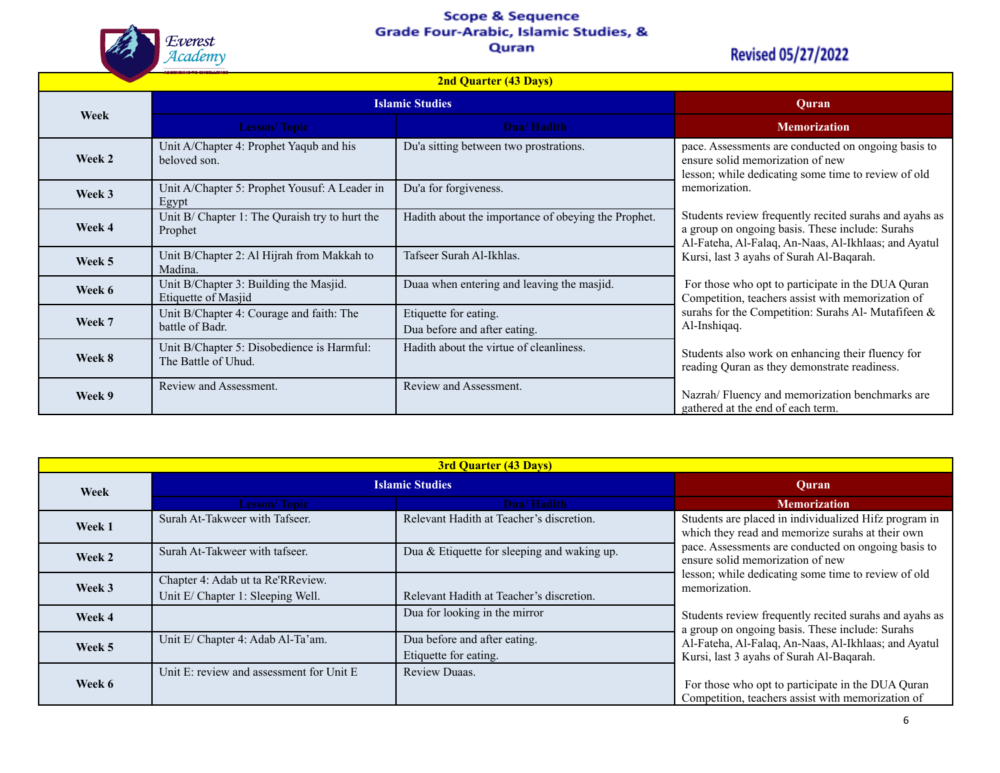# Scope & Sequence<br>Grade Four-Arabic, Islamic Studies, &



#### Quran

| <b>2nd Quarter (43 Days)</b> |                                                                   |                                                       |                                                                                                                                                                   |
|------------------------------|-------------------------------------------------------------------|-------------------------------------------------------|-------------------------------------------------------------------------------------------------------------------------------------------------------------------|
|                              | <b>Islamic Studies</b>                                            |                                                       | <b>Quran</b>                                                                                                                                                      |
| Week                         | <b>Lesson/Topic</b>                                               | Dua/Hadith                                            | <b>Memorization</b>                                                                                                                                               |
| Week 2                       | Unit A/Chapter 4: Prophet Yaqub and his<br>beloved son.           | Du'a sitting between two prostrations.                | pace. Assessments are conducted on ongoing basis to<br>ensure solid memorization of new<br>lesson; while dedicating some time to review of old                    |
| Week 3                       | Unit A/Chapter 5: Prophet Yousuf: A Leader in<br>Egypt            | Du'a for forgiveness.                                 | memorization.                                                                                                                                                     |
| Week 4                       | Unit B/ Chapter 1: The Quraish try to hurt the<br>Prophet         | Hadith about the importance of obeying the Prophet.   | Students review frequently recited surahs and ayahs as<br>a group on ongoing basis. These include: Surahs<br>Al-Fateha, Al-Falaq, An-Naas, Al-Ikhlaas; and Ayatul |
| Week 5                       | Unit B/Chapter 2: Al Hijrah from Makkah to<br>Madina.             | Tafseer Surah Al-Ikhlas.                              | Kursi, last 3 ayahs of Surah Al-Baqarah.                                                                                                                          |
| Week 6                       | Unit B/Chapter 3: Building the Masjid.<br>Etiquette of Masjid     | Duaa when entering and leaving the masjid.            | For those who opt to participate in the DUA Quran<br>Competition, teachers assist with memorization of                                                            |
| Week 7                       | Unit B/Chapter 4: Courage and faith: The<br>battle of Badr.       | Etiquette for eating.<br>Dua before and after eating. | surahs for the Competition: Surahs Al- Mutafifeen &<br>Al-Inshiqaq.                                                                                               |
| Week 8                       | Unit B/Chapter 5: Disobedience is Harmful:<br>The Battle of Uhud. | Hadith about the virtue of cleanliness.               | Students also work on enhancing their fluency for<br>reading Quran as they demonstrate readiness.                                                                 |
| Week 9                       | Review and Assessment.                                            | Review and Assessment.                                | Nazrah/Fluency and memorization benchmarks are<br>gathered at the end of each term.                                                                               |

| <b>3rd Quarter (43 Days)</b> |                                          |                                             |                                                                                                           |
|------------------------------|------------------------------------------|---------------------------------------------|-----------------------------------------------------------------------------------------------------------|
| Week                         | <b>Islamic Studies</b>                   |                                             | Ouran                                                                                                     |
|                              | <b>Lesson/Topic</b>                      | Dua/Hadith                                  | <b>Memorization</b>                                                                                       |
| Week 1                       | Surah At-Takweer with Tafseer.           | Relevant Hadith at Teacher's discretion.    | Students are placed in individualized Hifz program in<br>which they read and memorize surahs at their own |
| Week 2                       | Surah At-Takweer with tafseer.           | Dua & Etiquette for sleeping and waking up. | pace. Assessments are conducted on ongoing basis to<br>ensure solid memorization of new                   |
| Week 3                       | Chapter 4: Adab ut ta Re'RReview.        |                                             | lesson; while dedicating some time to review of old<br>memorization.                                      |
|                              | Unit E/ Chapter 1: Sleeping Well.        | Relevant Hadith at Teacher's discretion.    |                                                                                                           |
| Week 4                       |                                          | Dua for looking in the mirror               | Students review frequently recited surahs and ayahs as<br>a group on ongoing basis. These include: Surahs |
| Week 5                       | Unit E/ Chapter 4: Adab Al-Ta'am.        | Dua before and after eating.                | Al-Fateha, Al-Falaq, An-Naas, Al-Ikhlaas; and Ayatul                                                      |
|                              |                                          | Etiquette for eating.                       | Kursi, last 3 ayahs of Surah Al-Baqarah.                                                                  |
| Week 6                       | Unit E: review and assessment for Unit E | <b>Review Duaas.</b>                        | For those who opt to participate in the DUA Quran<br>Competition, teachers assist with memorization of    |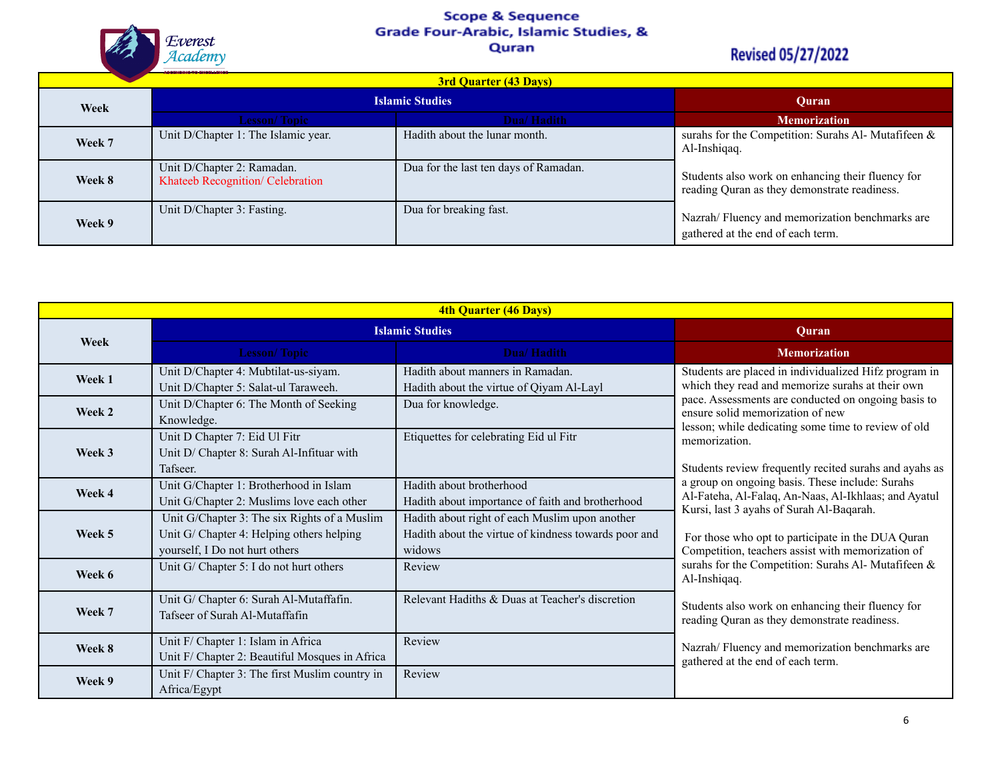Scope & Sequence<br>Grade Four-Arabic, Islamic Studies, &



#### Quran

| <b>3rd Quarter (43 Days)</b> |                                                                |                                       |                                                                                                   |
|------------------------------|----------------------------------------------------------------|---------------------------------------|---------------------------------------------------------------------------------------------------|
| Week                         | <b>Islamic Studies</b>                                         |                                       | Ouran                                                                                             |
|                              | <b>Lesson/Topic</b>                                            | Dua/Hadith                            | <b>Memorization</b>                                                                               |
| Week 7                       | Unit D/Chapter 1: The Islamic year.                            | Hadith about the lunar month.         | surahs for the Competition: Surahs Al- Mutafifeen &<br>Al-Inshigag.                               |
| Week 8                       | Unit D/Chapter 2: Ramadan.<br>Khateeb Recognition/ Celebration | Dua for the last ten days of Ramadan. | Students also work on enhancing their fluency for<br>reading Quran as they demonstrate readiness. |
| Week 9                       | Unit D/Chapter 3: Fasting.                                     | Dua for breaking fast.                | Nazrah/Fluency and memorization benchmarks are<br>gathered at the end of each term.               |

| 4th Quarter (46 Days) |                                                                                                                             |                                                                                                                  |                                                                                                                                                     |
|-----------------------|-----------------------------------------------------------------------------------------------------------------------------|------------------------------------------------------------------------------------------------------------------|-----------------------------------------------------------------------------------------------------------------------------------------------------|
| Week                  | <b>Islamic Studies</b>                                                                                                      |                                                                                                                  | Quran                                                                                                                                               |
|                       | <b>Lesson/Topic</b>                                                                                                         | Dua/Hadith                                                                                                       | <b>Memorization</b>                                                                                                                                 |
| Week 1                | Unit D/Chapter 4: Mubtilat-us-siyam.<br>Unit D/Chapter 5: Salat-ul Taraweeh.                                                | Hadith about manners in Ramadan.<br>Hadith about the virtue of Qiyam Al-Layl                                     | Students are placed in individualized Hifz program in<br>which they read and memorize surahs at their own                                           |
| Week 2                | Unit D/Chapter 6: The Month of Seeking<br>Knowledge.                                                                        | Dua for knowledge.                                                                                               | pace. Assessments are conducted on ongoing basis to<br>ensure solid memorization of new<br>lesson; while dedicating some time to review of old      |
| Week 3                | Unit D Chapter 7: Eid Ul Fitr<br>Unit D/ Chapter 8: Surah Al-Infituar with<br>Tafseer.                                      | Etiquettes for celebrating Eid ul Fitr                                                                           | memorization.<br>Students review frequently recited surahs and ayahs as                                                                             |
| Week 4                | Unit G/Chapter 1: Brotherhood in Islam<br>Unit G/Chapter 2: Muslims love each other                                         | Hadith about brotherhood<br>Hadith about importance of faith and brotherhood                                     | a group on ongoing basis. These include: Surahs<br>Al-Fateha, Al-Falaq, An-Naas, Al-Ikhlaas; and Ayatul<br>Kursi, last 3 ayahs of Surah Al-Baqarah. |
| Week 5                | Unit G/Chapter 3: The six Rights of a Muslim<br>Unit G/ Chapter 4: Helping others helping<br>yourself, I Do not hurt others | Hadith about right of each Muslim upon another<br>Hadith about the virtue of kindness towards poor and<br>widows | For those who opt to participate in the DUA Quran<br>Competition, teachers assist with memorization of                                              |
| Week 6                | Unit G/ Chapter 5: I do not hurt others                                                                                     | Review                                                                                                           | surahs for the Competition: Surahs Al- Mutafifeen &<br>Al-Inshiqaq.                                                                                 |
| Week 7                | Unit G/ Chapter 6: Surah Al-Mutaffafin.<br>Tafseer of Surah Al-Mutaffafin                                                   | Relevant Hadiths & Duas at Teacher's discretion                                                                  | Students also work on enhancing their fluency for<br>reading Quran as they demonstrate readiness.                                                   |
| Week 8                | Unit F/ Chapter 1: Islam in Africa<br>Unit F/ Chapter 2: Beautiful Mosques in Africa                                        | Review                                                                                                           | Nazrah/Fluency and memorization benchmarks are<br>gathered at the end of each term.                                                                 |
| Week 9                | Unit F/ Chapter 3: The first Muslim country in<br>Africa/Egypt                                                              | Review                                                                                                           |                                                                                                                                                     |